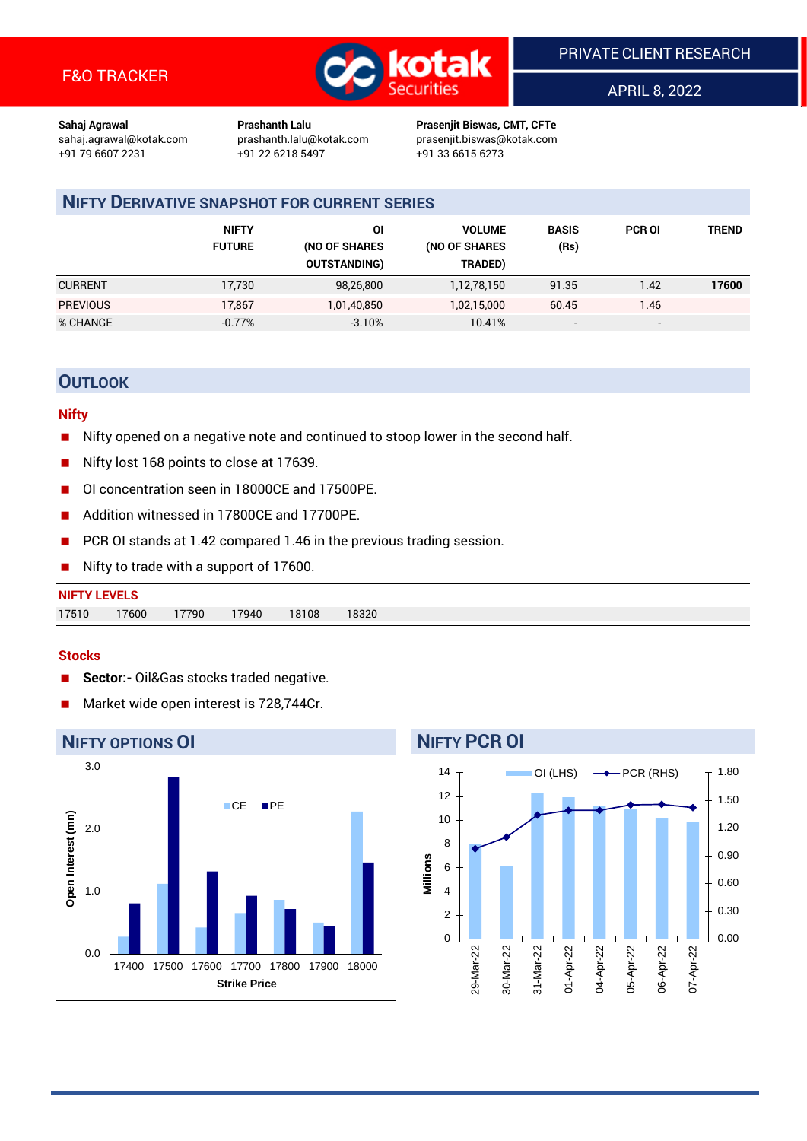

APRIL 8, 2022

**Sahaj Agrawal Prashanth Lalu Prasenjit Biswas, CMT, CFTe** +91 22 6218 5497 +91 33 6615 6273

sahaj.agrawal@kotak.com [prashanth.lalu@kotak.com](mailto:prashanth.lalu@kotak.com) prasenjit.biswas@kotak.com

### **NIFTY DERIVATIVE SNAPSHOT FOR CURRENT SERIES**

|                 | <b>NIFTY</b><br><b>FUTURE</b> | ΟI<br>(NO OF SHARES<br><b>OUTSTANDING)</b> | <b>VOLUME</b><br>(NO OF SHARES<br>TRADED) | <b>BASIS</b><br>(Rs)     | <b>PCR OI</b>            | TREND |
|-----------------|-------------------------------|--------------------------------------------|-------------------------------------------|--------------------------|--------------------------|-------|
| <b>CURRENT</b>  | 17,730                        | 98,26,800                                  | 1,12,78,150                               | 91.35                    | 1.42                     | 17600 |
| <b>PREVIOUS</b> | 17.867                        | 1,01,40,850                                | 1,02,15,000                               | 60.45                    | 1.46                     |       |
| % CHANGE        | $-0.77%$                      | $-3.10%$                                   | 10.41%                                    | $\overline{\phantom{a}}$ | $\overline{\phantom{0}}$ |       |

### **OUTLOOK**

#### **Nifty**

- Nifty opened on a negative note and continued to stoop lower in the second half.
- Nifty lost 168 points to close at 17639.
- OI concentration seen in 18000CE and 17500PE.
- Addition witnessed in 17800CE and 17700PE.
- PCR OI stands at 1.42 compared 1.46 in the previous trading session.
- Nifty to trade with a support of 17600.

| <b>NIFTY LEVELS</b> |       |       |       |       |       |
|---------------------|-------|-------|-------|-------|-------|
| 17510               | 17600 | 17790 | 17940 | 18108 | 18320 |

#### **Stocks**

- **Sector:-** Oil&Gas stocks traded negative.
- Market wide open interest is 728,744Cr.



## **NIFTY PCR OI**

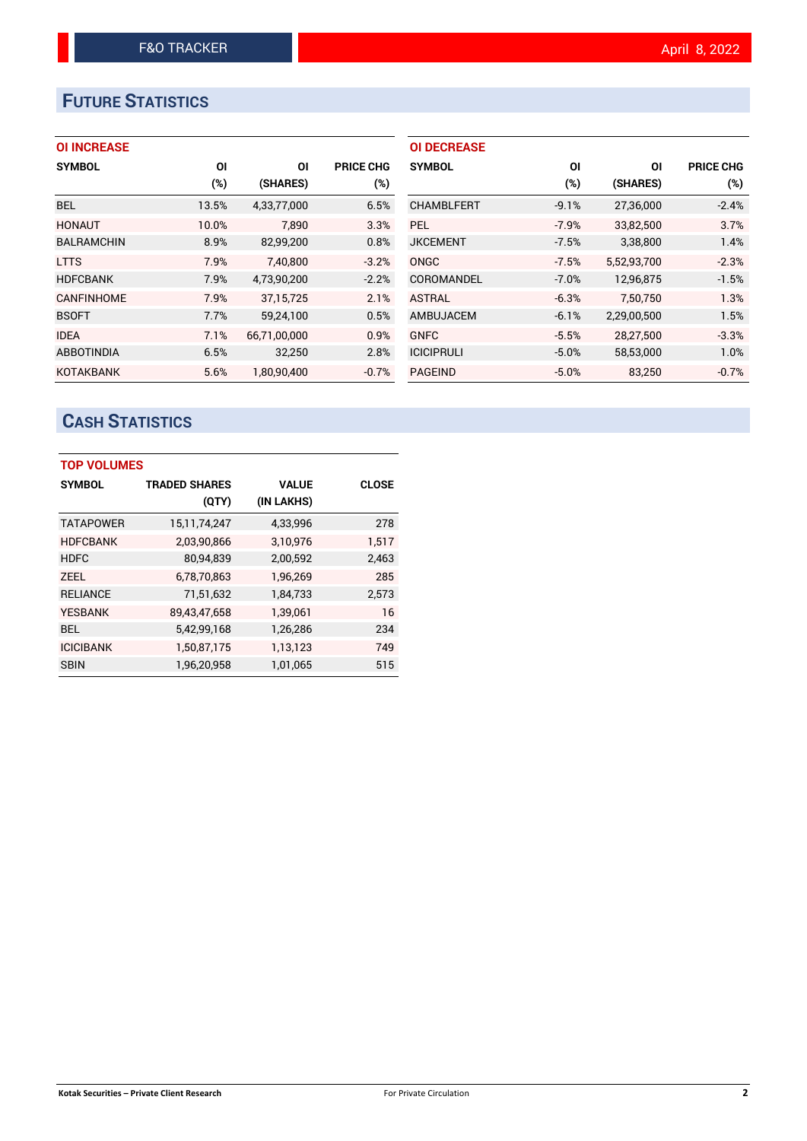# **FUTURE STATISTICS**

#### **OI INCREASE**

| <b>SYMBOL</b>     | ΟI    | ΟI           | <b>PRICE CHG</b> |
|-------------------|-------|--------------|------------------|
|                   | (%)   | (SHARES)     | $(\%)$           |
| <b>BEL</b>        | 13.5% | 4,33,77,000  | 6.5%             |
| <b>HONAUT</b>     | 10.0% | 7.890        | 3.3%             |
| <b>BALRAMCHIN</b> | 8.9%  | 82,99,200    | 0.8%             |
| <b>LTTS</b>       | 7.9%  | 7,40,800     | $-3.2%$          |
| <b>HDFCBANK</b>   | 7.9%  | 4,73,90,200  | $-2.2%$          |
| <b>CANFINHOME</b> | 7.9%  | 37, 15, 725  | 2.1%             |
| <b>BSOFT</b>      | 7.7%  | 59,24,100    | 0.5%             |
| <b>IDEA</b>       | 7.1%  | 66,71,00,000 | 0.9%             |
| <b>ABBOTINDIA</b> | 6.5%  | 32,250       | 2.8%             |
| <b>KOTAKBANK</b>  | 5.6%  | 1.80.90.400  | $-0.7%$          |

| <b>OI DECREASE</b> |         |             |                  |
|--------------------|---------|-------------|------------------|
| <b>SYMBOL</b>      | ΟI      | ΟI          | <b>PRICE CHG</b> |
|                    | (%)     | (SHARES)    | (%)              |
| <b>CHAMBLFERT</b>  | $-9.1%$ | 27,36,000   | $-2.4%$          |
| PFI.               | $-7.9%$ | 33,82,500   | 3.7%             |
| <b>JKCEMENT</b>    | $-7.5%$ | 3,38,800    | 1.4%             |
| <b>ONGC</b>        | $-7.5%$ | 5,52,93,700 | $-2.3%$          |
| COROMANDEL         | $-7.0%$ | 12,96,875   | $-1.5%$          |
| <b>ASTRAL</b>      | $-6.3%$ | 7.50.750    | 1.3%             |
| AMBUJACEM          | $-6.1%$ | 2,29,00,500 | 1.5%             |
| <b>GNFC</b>        | $-5.5%$ | 28,27,500   | $-3.3%$          |
| <b>ICICIPRULI</b>  | $-5.0%$ | 58,53,000   | 1.0%             |
| <b>PAGEIND</b>     | $-5.0%$ | 83,250      | $-0.7%$          |

# **CASH STATISTICS**

| <b>TOP VOLUMES</b> |                      |              |              |  |  |  |  |
|--------------------|----------------------|--------------|--------------|--|--|--|--|
| <b>SYMBOL</b>      | <b>TRADED SHARES</b> | <b>VALUE</b> | <b>CLOSE</b> |  |  |  |  |
|                    | (QTY)                | (IN LAKHS)   |              |  |  |  |  |
| <b>TATAPOWER</b>   | 15,11,74,247         | 4,33,996     | 278          |  |  |  |  |
| <b>HDFCBANK</b>    | 2,03,90,866          | 3,10,976     | 1,517        |  |  |  |  |
| <b>HDFC</b>        | 80,94,839            | 2,00,592     | 2,463        |  |  |  |  |
| <b>ZEEL</b>        | 6,78,70,863          | 1,96,269     | 285          |  |  |  |  |
| <b>RELIANCE</b>    | 71,51,632            | 1,84,733     | 2,573        |  |  |  |  |
| <b>YESBANK</b>     | 89,43,47,658         | 1,39,061     | 16           |  |  |  |  |
| <b>BEL</b>         | 5,42,99,168          | 1,26,286     | 234          |  |  |  |  |
| <b>ICICIBANK</b>   | 1,50,87,175          | 1,13,123     | 749          |  |  |  |  |
| <b>SBIN</b>        | 1,96,20,958          | 1,01,065     | 515          |  |  |  |  |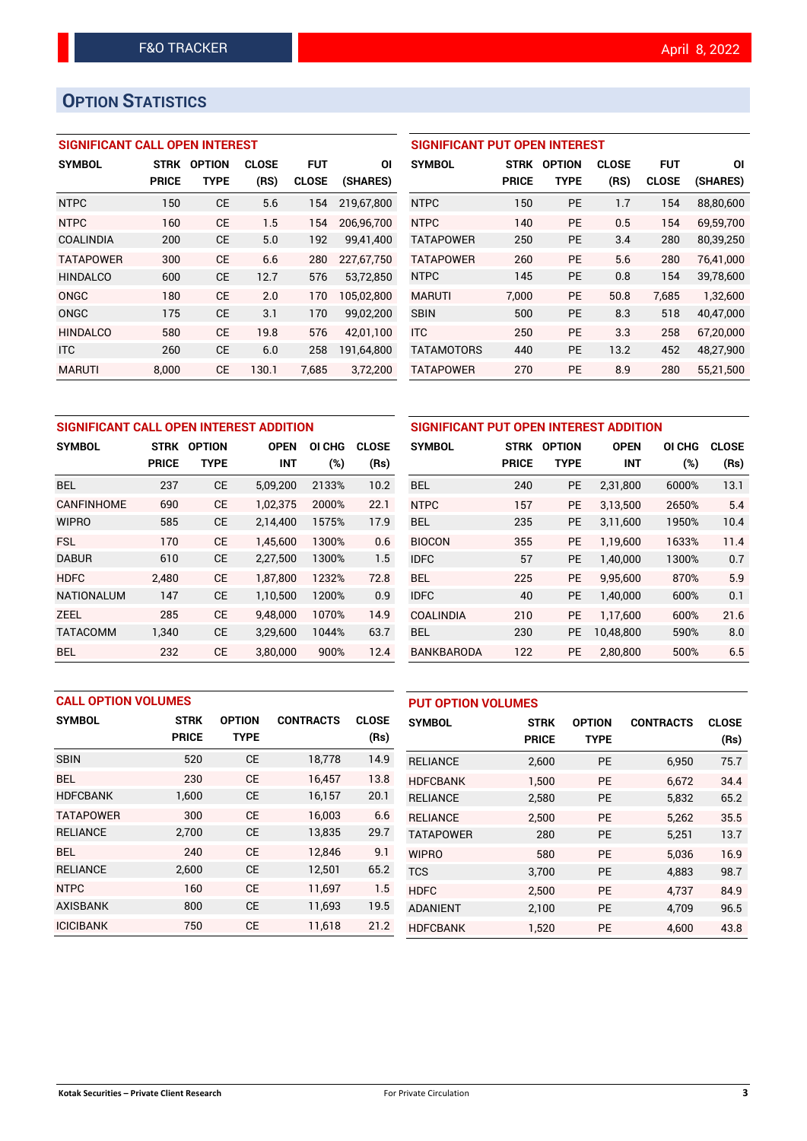# **OPTION STATISTICS**

#### **SIGNIFICANT CALL OPEN INTEREST**

| <b>SYMBOL</b>    | <b>STRK</b>  | <b>OPTION</b> | <b>CLOSE</b> | <b>FUT</b>   | ΟI         |
|------------------|--------------|---------------|--------------|--------------|------------|
|                  | <b>PRICE</b> | TYPE          | (RS)         | <b>CLOSE</b> | (SHARES)   |
| <b>NTPC</b>      | 150          | CE            | 5.6          | 154          | 219,67,800 |
| <b>NTPC</b>      | 160          | CE            | 1.5          | 154          | 206,96,700 |
| COALINDIA        | 200          | <b>CE</b>     | 5.0          | 192          | 99,41,400  |
| <b>TATAPOWER</b> | 300          | CE            | 6.6          | 280          | 227.67.750 |
| <b>HINDALCO</b>  | 600          | CE            | 12.7         | 576          | 53,72,850  |
| ONGC             | 180          | CE            | 2.0          | 170          | 105,02,800 |
| ONGC             | 175          | CE            | 3.1          | 170          | 99,02,200  |
| <b>HINDALCO</b>  | 580          | CF            | 19.8         | 576          | 42,01,100  |
| <b>ITC</b>       | 260          | CE            | 6.0          | 258          | 191,64,800 |
| <b>MARUTI</b>    | 8.000        | СE            | 130.1        | 7.685        | 3,72,200   |

#### **SIGNIFICANT PUT OPEN INTEREST**

| <b>SYMBOL</b>     | <b>STRK</b><br><b>PRICE</b> | <b>OPTION</b><br>TYPE | <b>CLOSE</b><br>(RS) | <b>FUT</b><br><b>CLOSE</b> | ΟI<br>(SHARES) |
|-------------------|-----------------------------|-----------------------|----------------------|----------------------------|----------------|
| <b>NTPC</b>       | 150                         | PF                    | 1.7                  | 154                        | 88,80,600      |
| <b>NTPC</b>       | 140                         | PF                    | 0.5                  | 154                        | 69,59,700      |
| <b>TATAPOWER</b>  | 250                         | <b>PE</b>             | 3.4                  | 280                        | 80,39,250      |
| <b>TATAPOWER</b>  | 260                         | <b>PE</b>             | 5.6                  | 280                        | 76.41.000      |
| <b>NTPC</b>       | 145                         | <b>PE</b>             | 0.8                  | 154                        | 39,78,600      |
| <b>MARUTI</b>     | 7.000                       | PE                    | 50.8                 | 7.685                      | 1.32.600       |
| <b>SBIN</b>       | 500                         | PF                    | 8.3                  | 518                        | 40,47,000      |
| <b>ITC</b>        | 250                         | <b>PE</b>             | 3.3                  | 258                        | 67,20,000      |
| <b>TATAMOTORS</b> | 440                         | PF                    | 13.2                 | 452                        | 48,27,900      |
| <b>TATAPOWER</b>  | 270                         | <b>PE</b>             | 8.9                  | 280                        | 55,21,500      |

| SIGNIFICANT CALL OPEN INTEREST ADDITION |              |               |             |        |              |  |  |  |  |
|-----------------------------------------|--------------|---------------|-------------|--------|--------------|--|--|--|--|
| <b>SYMBOL</b>                           | STRK         | <b>OPTION</b> | <b>OPEN</b> | OI CHG | <b>CLOSE</b> |  |  |  |  |
|                                         | <b>PRICE</b> | <b>TYPE</b>   | <b>INT</b>  | (%)    | (Rs)         |  |  |  |  |
| <b>BEL</b>                              | 237          | СE            | 5,09,200    | 2133%  | 10.2         |  |  |  |  |
| CANFINHOME                              | 690          | СE            | 1,02,375    | 2000%  | 22.1         |  |  |  |  |
| <b>WIPRO</b>                            | 585          | СE            | 2,14,400    | 1575%  | 17.9         |  |  |  |  |
| <b>FSL</b>                              | 170          | CE            | 1.45.600    | 1300%  | 0.6          |  |  |  |  |
| <b>DABUR</b>                            | 610          | <b>CE</b>     | 2,27,500    | 1300%  | 1.5          |  |  |  |  |
| <b>HDFC</b>                             | 2.480        | <b>CE</b>     | 1,87,800    | 1232%  | 72.8         |  |  |  |  |
| <b>NATIONALUM</b>                       | 147          | <b>CE</b>     | 1,10,500    | 1200%  | 0.9          |  |  |  |  |
| ZEEL                                    | 285          | <b>CE</b>     | 9.48.000    | 1070%  | 14.9         |  |  |  |  |
| <b>TATACOMM</b>                         | 1,340        | <b>CE</b>     | 3,29,600    | 1044%  | 63.7         |  |  |  |  |
| <b>BEL</b>                              | 232          | СE            | 3,80,000    | 900%   | 12.4         |  |  |  |  |

| SIGNIFICANT PUT OPEN INTEREST ADDITION |              |               |             |        |              |  |  |  |  |
|----------------------------------------|--------------|---------------|-------------|--------|--------------|--|--|--|--|
| <b>SYMBOL</b>                          | <b>STRK</b>  | <b>OPTION</b> | <b>OPEN</b> |        | <b>CLOSE</b> |  |  |  |  |
|                                        | <b>PRICE</b> | <b>TYPE</b>   | <b>INT</b>  | $(\%)$ | (Rs)         |  |  |  |  |
| <b>BEL</b>                             | 240          | <b>PE</b>     | 2,31,800    | 6000%  | 13.1         |  |  |  |  |
| <b>NTPC</b>                            | 157          | <b>PE</b>     | 3.13.500    | 2650%  | 5.4          |  |  |  |  |
| BEL                                    | 235          | <b>PE</b>     | 3,11,600    | 1950%  | 10.4         |  |  |  |  |
| <b>BIOCON</b>                          | 355          | <b>PE</b>     | 1,19,600    | 1633%  | 11.4         |  |  |  |  |
| <b>IDFC</b>                            | 57           | <b>PE</b>     | 1,40,000    | 1300%  | 0.7          |  |  |  |  |
| <b>BFI</b>                             | 225          | <b>PE</b>     | 9,95,600    | 870%   | 5.9          |  |  |  |  |
| <b>IDFC</b>                            | 40           | <b>PE</b>     | 1,40,000    | 600%   | 0.1          |  |  |  |  |
| <b>COALINDIA</b>                       | 210          | <b>PE</b>     | 1,17,600    | 600%   | 21.6         |  |  |  |  |
| BEL.                                   | 230          | <b>PE</b>     | 10,48,800   | 590%   | 8.0          |  |  |  |  |
| BANKBARODA                             | 122          | <b>PE</b>     | 2,80,800    | 500%   | 6.5          |  |  |  |  |

|                  | <b>CALL OPTION VOLUMES</b> |               |                  |              |                  | <b>PUT OPTION VOLUMES</b> |               |                  |              |  |
|------------------|----------------------------|---------------|------------------|--------------|------------------|---------------------------|---------------|------------------|--------------|--|
| <b>SYMBOL</b>    | <b>STRK</b>                | <b>OPTION</b> | <b>CONTRACTS</b> | <b>CLOSE</b> | <b>SYMBOL</b>    | <b>STRK</b>               | <b>OPTION</b> | <b>CONTRACTS</b> | <b>CLOSE</b> |  |
|                  | <b>PRICE</b>               | <b>TYPE</b>   |                  | (Rs)         |                  | <b>PRICE</b>              | <b>TYPE</b>   |                  | (Rs)         |  |
| <b>SBIN</b>      | 520                        | <b>CE</b>     | 18,778           | 14.9         | <b>RELIANCE</b>  | 2,600                     | <b>PE</b>     | 6,950            | 75.7         |  |
| <b>BEL</b>       | 230                        | <b>CE</b>     | 16,457           | 13.8         | <b>HDFCBANK</b>  | 1,500                     | <b>PE</b>     | 6.672            | 34.4         |  |
| <b>HDFCBANK</b>  | 1,600                      | <b>CE</b>     | 16,157           | 20.1         | <b>RELIANCE</b>  | 2,580                     | <b>PE</b>     | 5,832            | 65.2         |  |
| <b>TATAPOWER</b> | 300                        | <b>CE</b>     | 16,003           | 6.6          | <b>RELIANCE</b>  | 2.500                     | <b>PE</b>     | 5,262            | 35.5         |  |
| <b>RELIANCE</b>  | 2,700                      | <b>CE</b>     | 13,835           | 29.7         | <b>TATAPOWER</b> | 280                       | <b>PE</b>     | 5,251            | 13.7         |  |
| <b>BEL</b>       | 240                        | <b>CE</b>     | 12.846           | 9.1          | <b>WIPRO</b>     | 580                       | <b>PE</b>     | 5.036            | 16.9         |  |
| <b>RELIANCE</b>  | 2,600                      | <b>CE</b>     | 12,501           | 65.2         | <b>TCS</b>       | 3,700                     | <b>PE</b>     | 4,883            | 98.7         |  |
| <b>NTPC</b>      | 160                        | <b>CE</b>     | 11.697           | 1.5          | <b>HDFC</b>      | 2,500                     | <b>PE</b>     | 4.737            | 84.9         |  |
| <b>AXISBANK</b>  | 800                        | <b>CE</b>     | 11,693           | 19.5         | <b>ADANIENT</b>  | 2,100                     | <b>PE</b>     | 4,709            | 96.5         |  |
| <b>ICICIBANK</b> | 750                        | <b>CE</b>     | 11,618           | 21.2         | <b>HDFCBANK</b>  | 1,520                     | <b>PE</b>     | 4.600            | 43.8         |  |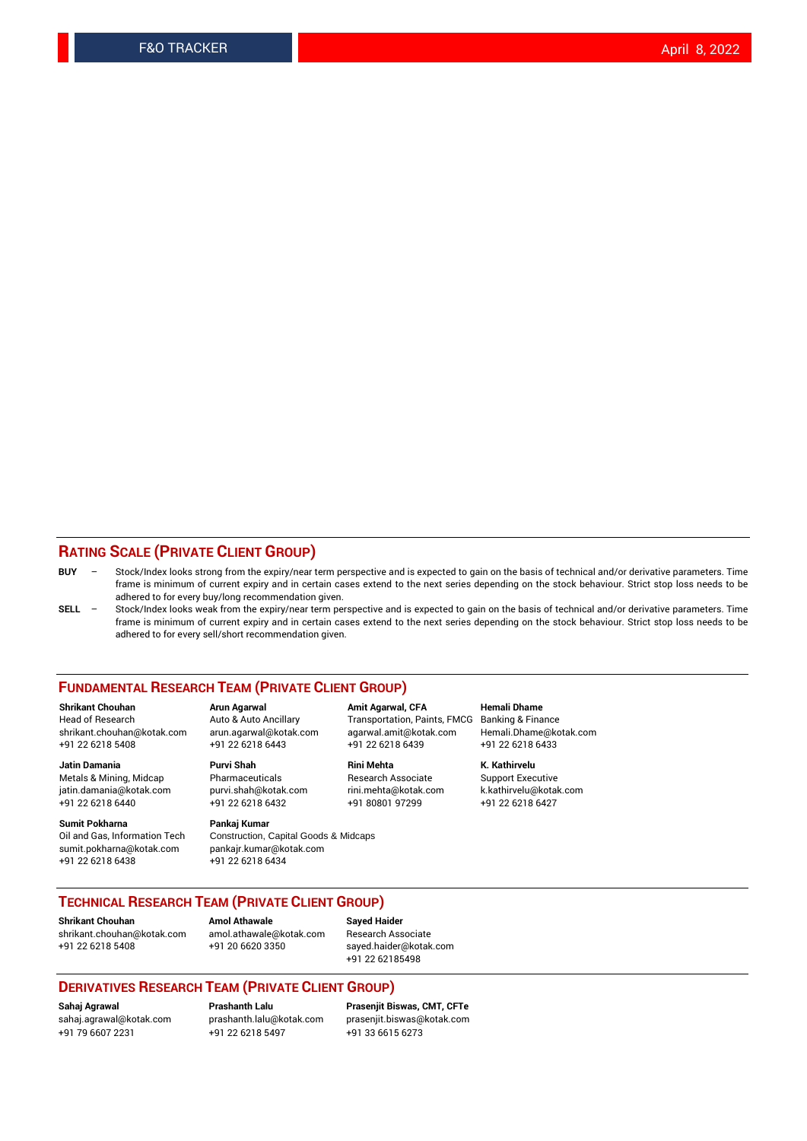#### **RATING SCALE (PRIVATE CLIENT GROUP)**

- **BUY**  Stock/Index looks strong from the expiry/near term perspective and is expected to gain on the basis of technical and/or derivative parameters. Time frame is minimum of current expiry and in certain cases extend to the next series depending on the stock behaviour. Strict stop loss needs to be adhered to for every buy/long recommendation given.
- **SELL** Stock/Index looks weak from the expiry/near term perspective and is expected to gain on the basis of technical and/or derivative parameters. Time frame is minimum of current expiry and in certain cases extend to the next series depending on the stock behaviour. Strict stop loss needs to be adhered to for every sell/short recommendation given.

#### **FUNDAMENTAL RESEARCH TEAM (PRIVATE CLIENT GROUP)**

**Shrikant Chouhan Arun Agarwal Amit Agarwal, CFA Hemali Dhame** shrikant.chouhan@kotak.com arun.agarwal@kotak.com agarwal.amit@kotak.com Hemali.Dhame@kotak.com +91 22 6218 5408 +91 22 6218 6443 +91 22 6218 6439 +91 22 6218 6433

Metals & Mining, Midcap Pharmaceuticals Pharmaceuticals Research Associate Support Executive<br>
iatin.damania@kotak.com purvi.shah@kotak.com rini.mehta@kotak.com k.kathirvelu@kotak.com jatin.damania@kotak.com

**Sumit Pokharna** Pankaj Kumar<br>Oil and Gas, Information Tech Construction, sumit.pokharna@kotak.com pankajr.kumar@kotak.com +91 22 6218 6438 +91 22 6218 6434

# **Jatin Damania Purvi Shah Rini Mehta K. Kathirvelu**

Construction, Capital Goods & Midcaps

Transportation, Paints, FMCG

+91 22 6218 6440 +91 22 6218 6432 +91 80801 97299 +91 22 6218 6427

#### **TECHNICAL RESEARCH TEAM (PRIVATE CLIENT GROUP)**

[shrikant.chouhan@kotak.com](mailto:shrikant.chouhan@kotak.com) [amol.athawale@kotak.com](mailto:amol.athawale@kotak.com) Research Associate +91 22 6218 5408 +91 20 6620 3350 [sayed.haider@kotak.com](mailto:sayed.haider@kotak.com)

**Shrikant Chouhan Amol Athawale Sayed Haider**

+91 22 62185498

#### **DERIVATIVES RESEARCH TEAM (PRIVATE CLIENT GROUP)**

+91 79 6607 2231 +91 22 6218 5497 +91 33 6615 6273

**Sahaj Agrawal Prashanth Lalu Prasenjit Biswas, CMT, CFTe** [prasenjit.biswas@kotak.com](mailto:prasenjit.biswas@kotak.com)